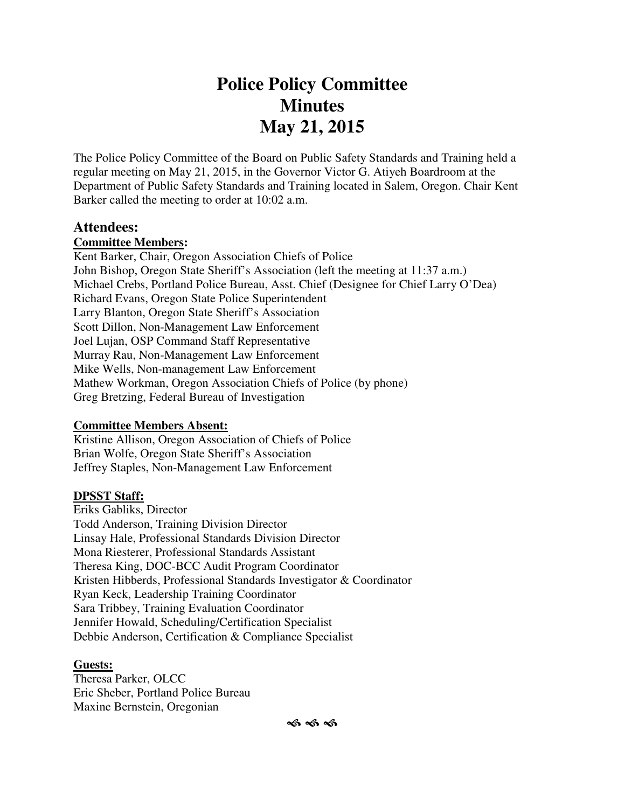# **Police Policy Committee Minutes May 21, 2015**

The Police Policy Committee of the Board on Public Safety Standards and Training held a regular meeting on May 21, 2015, in the Governor Victor G. Atiyeh Boardroom at the Department of Public Safety Standards and Training located in Salem, Oregon. Chair Kent Barker called the meeting to order at 10:02 a.m.

#### **Attendees:**

#### **Committee Members:**

Kent Barker, Chair, Oregon Association Chiefs of Police John Bishop, Oregon State Sheriff's Association (left the meeting at 11:37 a.m.) Michael Crebs, Portland Police Bureau, Asst. Chief (Designee for Chief Larry O'Dea) Richard Evans, Oregon State Police Superintendent Larry Blanton, Oregon State Sheriff's Association Scott Dillon, Non-Management Law Enforcement Joel Lujan, OSP Command Staff Representative Murray Rau, Non-Management Law Enforcement Mike Wells, Non-management Law Enforcement Mathew Workman, Oregon Association Chiefs of Police (by phone) Greg Bretzing, Federal Bureau of Investigation

#### **Committee Members Absent:**

Kristine Allison, Oregon Association of Chiefs of Police Brian Wolfe, Oregon State Sheriff's Association Jeffrey Staples, Non-Management Law Enforcement

#### **DPSST Staff:**

Eriks Gabliks, Director Todd Anderson, Training Division Director Linsay Hale, Professional Standards Division Director Mona Riesterer, Professional Standards Assistant Theresa King, DOC-BCC Audit Program Coordinator Kristen Hibberds, Professional Standards Investigator & Coordinator Ryan Keck, Leadership Training Coordinator Sara Tribbey, Training Evaluation Coordinator Jennifer Howald, Scheduling/Certification Specialist Debbie Anderson, Certification & Compliance Specialist

#### **Guests:**

Theresa Parker, OLCC Eric Sheber, Portland Police Bureau Maxine Bernstein, Oregonian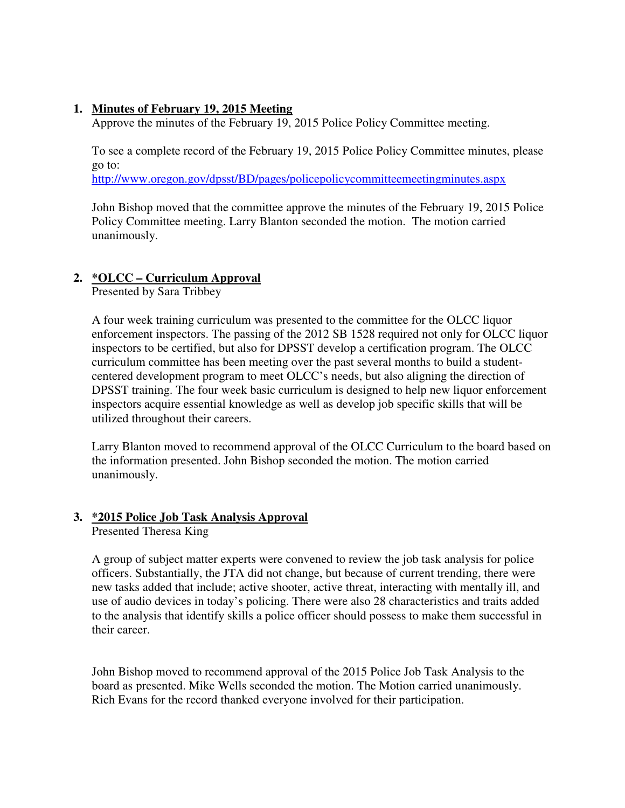#### **1. Minutes of February 19, 2015 Meeting**

Approve the minutes of the February 19, 2015 Police Policy Committee meeting.

To see a complete record of the February 19, 2015 Police Policy Committee minutes, please go to:

http://www.oregon.gov/dpsst/BD/pages/policepolicycommitteemeetingminutes.aspx

John Bishop moved that the committee approve the minutes of the February 19, 2015 Police Policy Committee meeting. Larry Blanton seconded the motion. The motion carried unanimously.

# **2. \*OLCC – Curriculum Approval**

Presented by Sara Tribbey

A four week training curriculum was presented to the committee for the OLCC liquor enforcement inspectors. The passing of the 2012 SB 1528 required not only for OLCC liquor inspectors to be certified, but also for DPSST develop a certification program. The OLCC curriculum committee has been meeting over the past several months to build a studentcentered development program to meet OLCC's needs, but also aligning the direction of DPSST training. The four week basic curriculum is designed to help new liquor enforcement inspectors acquire essential knowledge as well as develop job specific skills that will be utilized throughout their careers.

Larry Blanton moved to recommend approval of the OLCC Curriculum to the board based on the information presented. John Bishop seconded the motion. The motion carried unanimously.

#### **3. \*2015 Police Job Task Analysis Approval**

Presented Theresa King

A group of subject matter experts were convened to review the job task analysis for police officers. Substantially, the JTA did not change, but because of current trending, there were new tasks added that include; active shooter, active threat, interacting with mentally ill, and use of audio devices in today's policing. There were also 28 characteristics and traits added to the analysis that identify skills a police officer should possess to make them successful in their career.

John Bishop moved to recommend approval of the 2015 Police Job Task Analysis to the board as presented. Mike Wells seconded the motion. The Motion carried unanimously. Rich Evans for the record thanked everyone involved for their participation.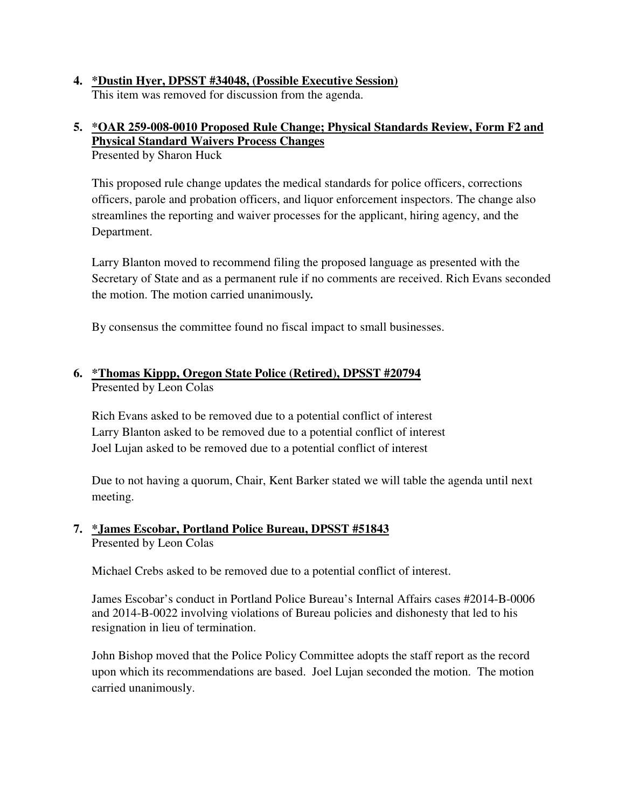**4. \*Dustin Hyer, DPSST #34048, (Possible Executive Session)** This item was removed for discussion from the agenda.

# **5. \*OAR 259-008-0010 Proposed Rule Change; Physical Standards Review, Form F2 and Physical Standard Waivers Process Changes**

Presented by Sharon Huck

This proposed rule change updates the medical standards for police officers, corrections officers, parole and probation officers, and liquor enforcement inspectors. The change also streamlines the reporting and waiver processes for the applicant, hiring agency, and the Department.

Larry Blanton moved to recommend filing the proposed language as presented with the Secretary of State and as a permanent rule if no comments are received. Rich Evans seconded the motion. The motion carried unanimously*.* 

By consensus the committee found no fiscal impact to small businesses.

# **6. \*Thomas Kippp, Oregon State Police (Retired), DPSST #20794** Presented by Leon Colas

Rich Evans asked to be removed due to a potential conflict of interest Larry Blanton asked to be removed due to a potential conflict of interest Joel Lujan asked to be removed due to a potential conflict of interest

Due to not having a quorum, Chair, Kent Barker stated we will table the agenda until next meeting.

#### **7. \*James Escobar, Portland Police Bureau, DPSST #51843** Presented by Leon Colas

Michael Crebs asked to be removed due to a potential conflict of interest.

James Escobar's conduct in Portland Police Bureau's Internal Affairs cases #2014-B-0006 and 2014-B-0022 involving violations of Bureau policies and dishonesty that led to his resignation in lieu of termination.

John Bishop moved that the Police Policy Committee adopts the staff report as the record upon which its recommendations are based. Joel Lujan seconded the motion. The motion carried unanimously.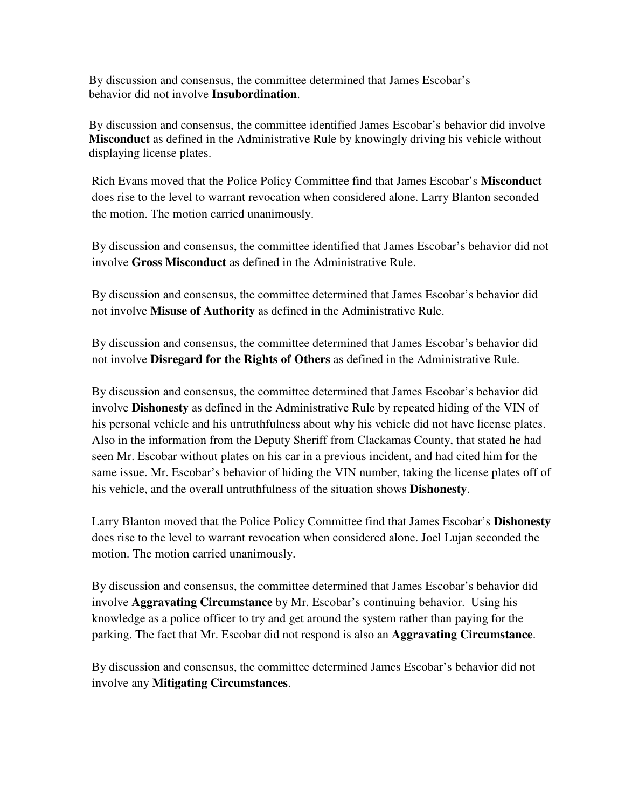By discussion and consensus, the committee determined that James Escobar's behavior did not involve **Insubordination**.

By discussion and consensus, the committee identified James Escobar's behavior did involve **Misconduct** as defined in the Administrative Rule by knowingly driving his vehicle without displaying license plates.

Rich Evans moved that the Police Policy Committee find that James Escobar's **Misconduct** does rise to the level to warrant revocation when considered alone. Larry Blanton seconded the motion. The motion carried unanimously.

By discussion and consensus, the committee identified that James Escobar's behavior did not involve **Gross Misconduct** as defined in the Administrative Rule.

By discussion and consensus, the committee determined that James Escobar's behavior did not involve **Misuse of Authority** as defined in the Administrative Rule.

By discussion and consensus, the committee determined that James Escobar's behavior did not involve **Disregard for the Rights of Others** as defined in the Administrative Rule.

By discussion and consensus, the committee determined that James Escobar's behavior did involve **Dishonesty** as defined in the Administrative Rule by repeated hiding of the VIN of his personal vehicle and his untruthfulness about why his vehicle did not have license plates. Also in the information from the Deputy Sheriff from Clackamas County, that stated he had seen Mr. Escobar without plates on his car in a previous incident, and had cited him for the same issue. Mr. Escobar's behavior of hiding the VIN number, taking the license plates off of his vehicle, and the overall untruthfulness of the situation shows **Dishonesty**.

Larry Blanton moved that the Police Policy Committee find that James Escobar's **Dishonesty** does rise to the level to warrant revocation when considered alone. Joel Lujan seconded the motion. The motion carried unanimously.

By discussion and consensus, the committee determined that James Escobar's behavior did involve **Aggravating Circumstance** by Mr. Escobar's continuing behavior. Using his knowledge as a police officer to try and get around the system rather than paying for the parking. The fact that Mr. Escobar did not respond is also an **Aggravating Circumstance**.

By discussion and consensus, the committee determined James Escobar's behavior did not involve any **Mitigating Circumstances**.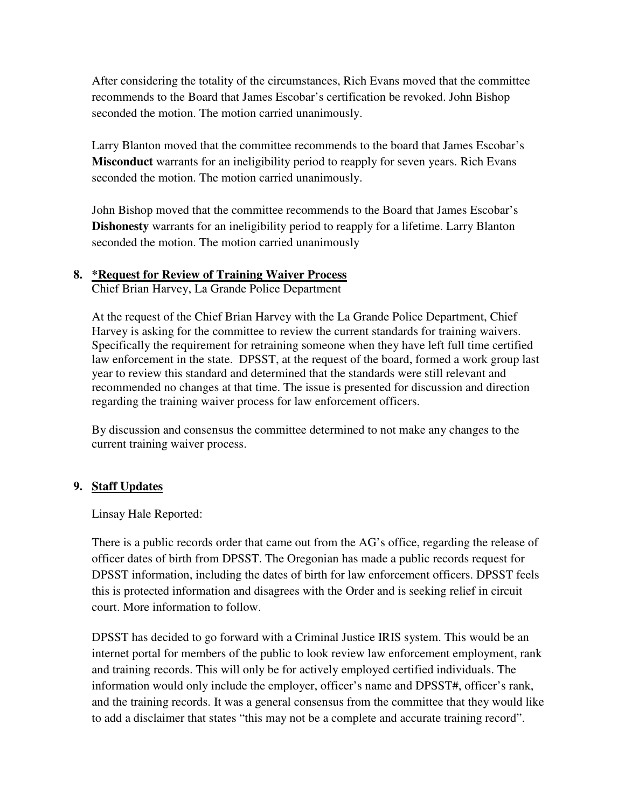After considering the totality of the circumstances, Rich Evans moved that the committee recommends to the Board that James Escobar's certification be revoked. John Bishop seconded the motion. The motion carried unanimously.

Larry Blanton moved that the committee recommends to the board that James Escobar's **Misconduct** warrants for an ineligibility period to reapply for seven years. Rich Evans seconded the motion. The motion carried unanimously.

John Bishop moved that the committee recommends to the Board that James Escobar's **Dishonesty** warrants for an ineligibility period to reapply for a lifetime. Larry Blanton seconded the motion. The motion carried unanimously

#### **8. \*Request for Review of Training Waiver Process**

Chief Brian Harvey, La Grande Police Department

At the request of the Chief Brian Harvey with the La Grande Police Department, Chief Harvey is asking for the committee to review the current standards for training waivers. Specifically the requirement for retraining someone when they have left full time certified law enforcement in the state. DPSST, at the request of the board, formed a work group last year to review this standard and determined that the standards were still relevant and recommended no changes at that time. The issue is presented for discussion and direction regarding the training waiver process for law enforcement officers.

By discussion and consensus the committee determined to not make any changes to the current training waiver process.

#### **9. Staff Updates**

Linsay Hale Reported:

There is a public records order that came out from the AG's office, regarding the release of officer dates of birth from DPSST. The Oregonian has made a public records request for DPSST information, including the dates of birth for law enforcement officers. DPSST feels this is protected information and disagrees with the Order and is seeking relief in circuit court. More information to follow.

DPSST has decided to go forward with a Criminal Justice IRIS system. This would be an internet portal for members of the public to look review law enforcement employment, rank and training records. This will only be for actively employed certified individuals. The information would only include the employer, officer's name and DPSST#, officer's rank, and the training records. It was a general consensus from the committee that they would like to add a disclaimer that states "this may not be a complete and accurate training record".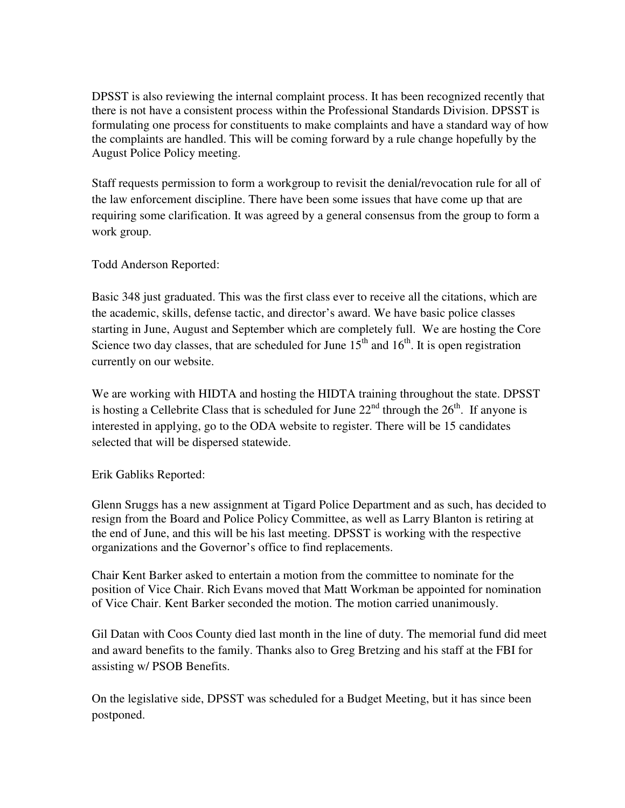DPSST is also reviewing the internal complaint process. It has been recognized recently that there is not have a consistent process within the Professional Standards Division. DPSST is formulating one process for constituents to make complaints and have a standard way of how the complaints are handled. This will be coming forward by a rule change hopefully by the August Police Policy meeting.

Staff requests permission to form a workgroup to revisit the denial/revocation rule for all of the law enforcement discipline. There have been some issues that have come up that are requiring some clarification. It was agreed by a general consensus from the group to form a work group.

Todd Anderson Reported:

Basic 348 just graduated. This was the first class ever to receive all the citations, which are the academic, skills, defense tactic, and director's award. We have basic police classes starting in June, August and September which are completely full. We are hosting the Core Science two day classes, that are scheduled for June  $15<sup>th</sup>$  and  $16<sup>th</sup>$ . It is open registration currently on our website.

We are working with HIDTA and hosting the HIDTA training throughout the state. DPSST is hosting a Cellebrite Class that is scheduled for June  $22<sup>nd</sup>$  through the  $26<sup>th</sup>$ . If anyone is interested in applying, go to the ODA website to register. There will be 15 candidates selected that will be dispersed statewide.

Erik Gabliks Reported:

Glenn Sruggs has a new assignment at Tigard Police Department and as such, has decided to resign from the Board and Police Policy Committee, as well as Larry Blanton is retiring at the end of June, and this will be his last meeting. DPSST is working with the respective organizations and the Governor's office to find replacements.

Chair Kent Barker asked to entertain a motion from the committee to nominate for the position of Vice Chair. Rich Evans moved that Matt Workman be appointed for nomination of Vice Chair. Kent Barker seconded the motion. The motion carried unanimously.

Gil Datan with Coos County died last month in the line of duty. The memorial fund did meet and award benefits to the family. Thanks also to Greg Bretzing and his staff at the FBI for assisting w/ PSOB Benefits.

On the legislative side, DPSST was scheduled for a Budget Meeting, but it has since been postponed.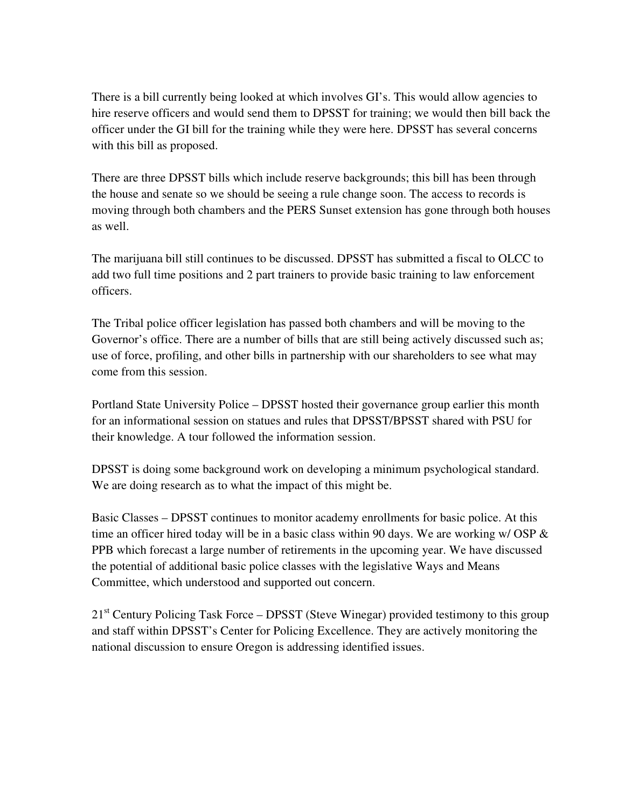There is a bill currently being looked at which involves GI's. This would allow agencies to hire reserve officers and would send them to DPSST for training; we would then bill back the officer under the GI bill for the training while they were here. DPSST has several concerns with this bill as proposed.

There are three DPSST bills which include reserve backgrounds; this bill has been through the house and senate so we should be seeing a rule change soon. The access to records is moving through both chambers and the PERS Sunset extension has gone through both houses as well.

The marijuana bill still continues to be discussed. DPSST has submitted a fiscal to OLCC to add two full time positions and 2 part trainers to provide basic training to law enforcement officers.

The Tribal police officer legislation has passed both chambers and will be moving to the Governor's office. There are a number of bills that are still being actively discussed such as; use of force, profiling, and other bills in partnership with our shareholders to see what may come from this session.

Portland State University Police – DPSST hosted their governance group earlier this month for an informational session on statues and rules that DPSST/BPSST shared with PSU for their knowledge. A tour followed the information session.

DPSST is doing some background work on developing a minimum psychological standard. We are doing research as to what the impact of this might be.

Basic Classes – DPSST continues to monitor academy enrollments for basic police. At this time an officer hired today will be in a basic class within 90 days. We are working w/ OSP  $\&$ PPB which forecast a large number of retirements in the upcoming year. We have discussed the potential of additional basic police classes with the legislative Ways and Means Committee, which understood and supported out concern.

21<sup>st</sup> Century Policing Task Force – DPSST (Steve Winegar) provided testimony to this group and staff within DPSST's Center for Policing Excellence. They are actively monitoring the national discussion to ensure Oregon is addressing identified issues.